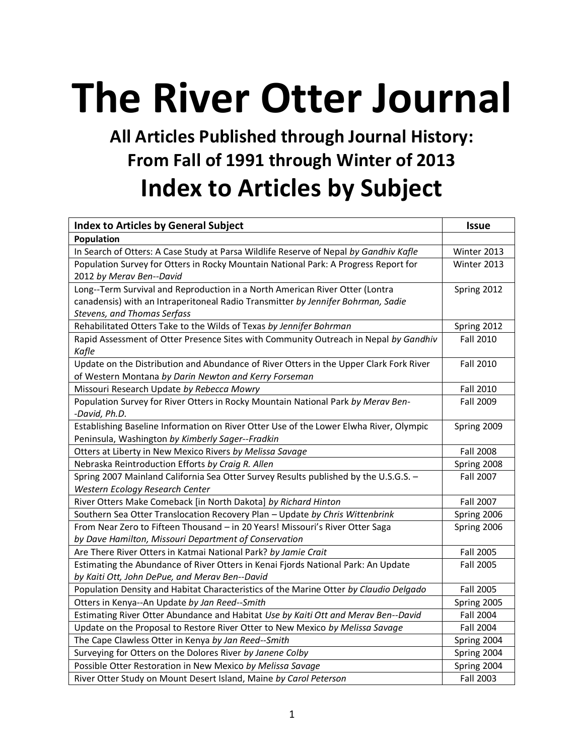## **The River Otter Journal**

## **All Articles Published through Journal History: From Fall of 1991 through Winter of 2013 Index to Articles by Subject**

| <b>Index to Articles by General Subject</b>                                            | <b>Issue</b>     |
|----------------------------------------------------------------------------------------|------------------|
| Population                                                                             |                  |
| In Search of Otters: A Case Study at Parsa Wildlife Reserve of Nepal by Gandhiv Kafle  | Winter 2013      |
| Population Survey for Otters in Rocky Mountain National Park: A Progress Report for    | Winter 2013      |
| 2012 by Merav Ben--David                                                               |                  |
| Long--Term Survival and Reproduction in a North American River Otter (Lontra           | Spring 2012      |
| canadensis) with an Intraperitoneal Radio Transmitter by Jennifer Bohrman, Sadie       |                  |
| <b>Stevens, and Thomas Serfass</b>                                                     |                  |
| Rehabilitated Otters Take to the Wilds of Texas by Jennifer Bohrman                    | Spring 2012      |
| Rapid Assessment of Otter Presence Sites with Community Outreach in Nepal by Gandhiv   | <b>Fall 2010</b> |
| Kafle                                                                                  |                  |
| Update on the Distribution and Abundance of River Otters in the Upper Clark Fork River | <b>Fall 2010</b> |
| of Western Montana by Darin Newton and Kerry Forseman                                  |                  |
| Missouri Research Update by Rebecca Mowry                                              | <b>Fall 2010</b> |
| Population Survey for River Otters in Rocky Mountain National Park by Merav Ben-       | Fall 2009        |
| -David, Ph.D.                                                                          |                  |
| Establishing Baseline Information on River Otter Use of the Lower Elwha River, Olympic | Spring 2009      |
| Peninsula, Washington by Kimberly Sager--Fradkin                                       |                  |
| Otters at Liberty in New Mexico Rivers by Melissa Savage                               | <b>Fall 2008</b> |
| Nebraska Reintroduction Efforts by Craig R. Allen                                      | Spring 2008      |
| Spring 2007 Mainland California Sea Otter Survey Results published by the U.S.G.S. -   | <b>Fall 2007</b> |
| Western Ecology Research Center                                                        |                  |
| River Otters Make Comeback [in North Dakota] by Richard Hinton                         | Fall 2007        |
| Southern Sea Otter Translocation Recovery Plan - Update by Chris Wittenbrink           | Spring 2006      |
| From Near Zero to Fifteen Thousand - in 20 Years! Missouri's River Otter Saga          | Spring 2006      |
| by Dave Hamilton, Missouri Department of Conservation                                  |                  |
| Are There River Otters in Katmai National Park? by Jamie Crait                         | Fall 2005        |
| Estimating the Abundance of River Otters in Kenai Fjords National Park: An Update      | <b>Fall 2005</b> |
| by Kaiti Ott, John DePue, and Merav Ben--David                                         |                  |
| Population Density and Habitat Characteristics of the Marine Otter by Claudio Delgado  | <b>Fall 2005</b> |
| Otters in Kenya--An Update by Jan Reed--Smith                                          | Spring 2005      |
| Estimating River Otter Abundance and Habitat Use by Kaiti Ott and Merav Ben--David     | <b>Fall 2004</b> |
| Update on the Proposal to Restore River Otter to New Mexico by Melissa Savage          | Fall 2004        |
| The Cape Clawless Otter in Kenya by Jan Reed--Smith                                    | Spring 2004      |
| Surveying for Otters on the Dolores River by Janene Colby                              | Spring 2004      |
| Possible Otter Restoration in New Mexico by Melissa Savage                             | Spring 2004      |
| River Otter Study on Mount Desert Island, Maine by Carol Peterson                      | <b>Fall 2003</b> |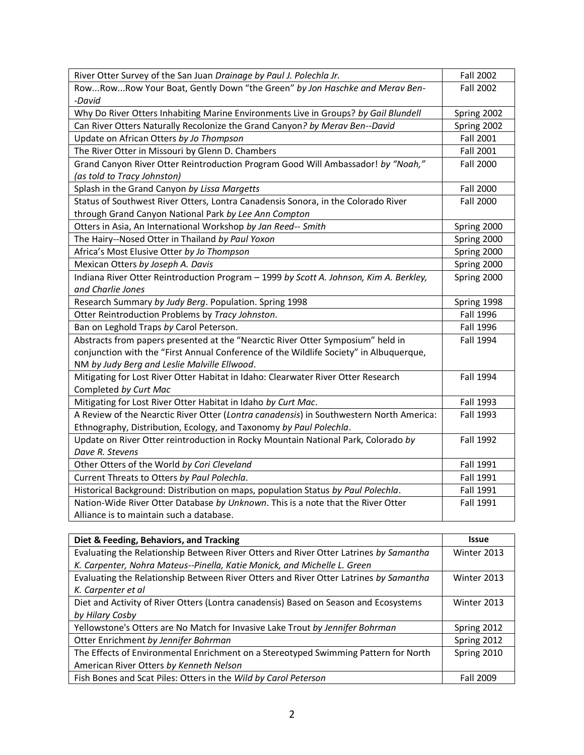| River Otter Survey of the San Juan Drainage by Paul J. Polechla Jr.                     | <b>Fall 2002</b> |
|-----------------------------------------------------------------------------------------|------------------|
| RowRowRow Your Boat, Gently Down "the Green" by Jon Haschke and Merav Ben-              | <b>Fall 2002</b> |
| -David                                                                                  |                  |
| Why Do River Otters Inhabiting Marine Environments Live in Groups? by Gail Blundell     | Spring 2002      |
| Can River Otters Naturally Recolonize the Grand Canyon? by Merav Ben--David             | Spring 2002      |
| Update on African Otters by Jo Thompson                                                 | <b>Fall 2001</b> |
| The River Otter in Missouri by Glenn D. Chambers                                        | <b>Fall 2001</b> |
| Grand Canyon River Otter Reintroduction Program Good Will Ambassador! by "Noah,"        | <b>Fall 2000</b> |
| (as told to Tracy Johnston)                                                             |                  |
| Splash in the Grand Canyon by Lissa Margetts                                            | <b>Fall 2000</b> |
| Status of Southwest River Otters, Lontra Canadensis Sonora, in the Colorado River       | <b>Fall 2000</b> |
| through Grand Canyon National Park by Lee Ann Compton                                   |                  |
| Otters in Asia, An International Workshop by Jan Reed-- Smith                           | Spring 2000      |
| The Hairy--Nosed Otter in Thailand by Paul Yoxon                                        | Spring 2000      |
| Africa's Most Elusive Otter by Jo Thompson                                              | Spring 2000      |
| Mexican Otters by Joseph A. Davis                                                       | Spring 2000      |
| Indiana River Otter Reintroduction Program - 1999 by Scott A. Johnson, Kim A. Berkley,  | Spring 2000      |
| and Charlie Jones                                                                       |                  |
| Research Summary by Judy Berg. Population. Spring 1998                                  | Spring 1998      |
| Otter Reintroduction Problems by Tracy Johnston.                                        | <b>Fall 1996</b> |
| Ban on Leghold Traps by Carol Peterson.                                                 | <b>Fall 1996</b> |
| Abstracts from papers presented at the "Nearctic River Otter Symposium" held in         | <b>Fall 1994</b> |
| conjunction with the "First Annual Conference of the Wildlife Society" in Albuquerque,  |                  |
| NM by Judy Berg and Leslie Malville Ellwood.                                            |                  |
| Mitigating for Lost River Otter Habitat in Idaho: Clearwater River Otter Research       | <b>Fall 1994</b> |
| Completed by Curt Mac                                                                   |                  |
| Mitigating for Lost River Otter Habitat in Idaho by Curt Mac.                           | <b>Fall 1993</b> |
| A Review of the Nearctic River Otter (Lontra canadensis) in Southwestern North America: | <b>Fall 1993</b> |
| Ethnography, Distribution, Ecology, and Taxonomy by Paul Polechla.                      |                  |
| Update on River Otter reintroduction in Rocky Mountain National Park, Colorado by       | <b>Fall 1992</b> |
| Dave R. Stevens                                                                         |                  |
| Other Otters of the World by Cori Cleveland                                             | Fall 1991        |
| Current Threats to Otters by Paul Polechla.                                             | Fall 1991        |
| Historical Background: Distribution on maps, population Status by Paul Polechla.        | Fall 1991        |
| Nation-Wide River Otter Database by Unknown. This is a note that the River Otter        | Fall 1991        |
| Alliance is to maintain such a database.                                                |                  |

| Diet & Feeding, Behaviors, and Tracking                                               | <b>Issue</b>     |
|---------------------------------------------------------------------------------------|------------------|
| Evaluating the Relationship Between River Otters and River Otter Latrines by Samantha | Winter 2013      |
| K. Carpenter, Nohra Mateus--Pinella, Katie Monick, and Michelle L. Green              |                  |
| Evaluating the Relationship Between River Otters and River Otter Latrines by Samantha | Winter 2013      |
| K. Carpenter et al                                                                    |                  |
| Diet and Activity of River Otters (Lontra canadensis) Based on Season and Ecosystems  | Winter 2013      |
| by Hilary Cosby                                                                       |                  |
| Yellowstone's Otters are No Match for Invasive Lake Trout by Jennifer Bohrman         | Spring 2012      |
| Otter Enrichment by Jennifer Bohrman                                                  | Spring 2012      |
| The Effects of Environmental Enrichment on a Stereotyped Swimming Pattern for North   | Spring 2010      |
| American River Otters by Kenneth Nelson                                               |                  |
| Fish Bones and Scat Piles: Otters in the Wild by Carol Peterson                       | <b>Fall 2009</b> |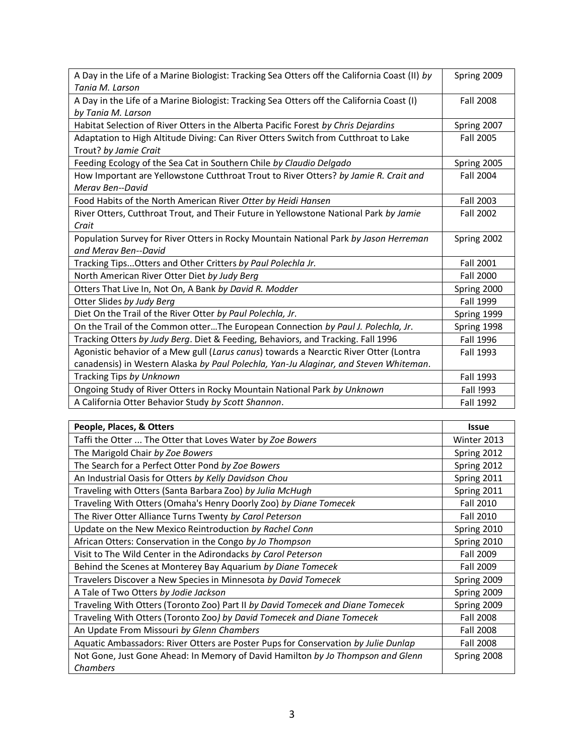| A Day in the Life of a Marine Biologist: Tracking Sea Otters off the California Coast (II) by<br>Tania M. Larson | Spring 2009      |
|------------------------------------------------------------------------------------------------------------------|------------------|
|                                                                                                                  |                  |
| A Day in the Life of a Marine Biologist: Tracking Sea Otters off the California Coast (I)                        | Fall 2008        |
| by Tania M. Larson                                                                                               |                  |
| Habitat Selection of River Otters in the Alberta Pacific Forest by Chris Dejardins                               | Spring 2007      |
| Adaptation to High Altitude Diving: Can River Otters Switch from Cutthroat to Lake                               | Fall 2005        |
| Trout? by Jamie Crait                                                                                            |                  |
| Feeding Ecology of the Sea Cat in Southern Chile by Claudio Delgado                                              | Spring 2005      |
| How Important are Yellowstone Cutthroat Trout to River Otters? by Jamie R. Crait and                             | Fall 2004        |
| Meray Ben--David                                                                                                 |                  |
| Food Habits of the North American River Otter by Heidi Hansen                                                    | Fall 2003        |
| River Otters, Cutthroat Trout, and Their Future in Yellowstone National Park by Jamie                            | Fall 2002        |
| Crait                                                                                                            |                  |
| Population Survey for River Otters in Rocky Mountain National Park by Jason Herreman                             | Spring 2002      |
| and Meray Ben--David                                                                                             |                  |
| Tracking Tips Otters and Other Critters by Paul Polechla Jr.                                                     | Fall 2001        |
| North American River Otter Diet by Judy Berg                                                                     | <b>Fall 2000</b> |
| Otters That Live In, Not On, A Bank by David R. Modder                                                           | Spring 2000      |
| Otter Slides by Judy Berg                                                                                        | <b>Fall 1999</b> |
| Diet On the Trail of the River Otter by Paul Polechla, Jr.                                                       | Spring 1999      |
| On the Trail of the Common otterThe European Connection by Paul J. Polechla, Jr.                                 | Spring 1998      |
| Tracking Otters by Judy Berg. Diet & Feeding, Behaviors, and Tracking. Fall 1996                                 | Fall 1996        |
| Agonistic behavior of a Mew gull (Larus canus) towards a Nearctic River Otter (Lontra                            | Fall 1993        |
| canadensis) in Western Alaska by Paul Polechla, Yan-Ju Alaginar, and Steven Whiteman.                            |                  |
| Tracking Tips by Unknown                                                                                         | Fall 1993        |
| Ongoing Study of River Otters in Rocky Mountain National Park by Unknown                                         | Fall !993        |
| A California Otter Behavior Study by Scott Shannon.                                                              | <b>Fall 1992</b> |

| People, Places, & Otters                                                           | <b>Issue</b> |
|------------------------------------------------------------------------------------|--------------|
| Taffi the Otter  The Otter that Loves Water by Zoe Bowers                          | Winter 2013  |
| The Marigold Chair by Zoe Bowers                                                   | Spring 2012  |
| The Search for a Perfect Otter Pond by Zoe Bowers                                  | Spring 2012  |
| An Industrial Oasis for Otters by Kelly Davidson Chou                              | Spring 2011  |
| Traveling with Otters (Santa Barbara Zoo) by Julia McHugh                          | Spring 2011  |
| Traveling With Otters (Omaha's Henry Doorly Zoo) by Diane Tomecek                  | Fall 2010    |
| The River Otter Alliance Turns Twenty by Carol Peterson                            | Fall 2010    |
| Update on the New Mexico Reintroduction by Rachel Conn                             | Spring 2010  |
| African Otters: Conservation in the Congo by Jo Thompson                           | Spring 2010  |
| Visit to The Wild Center in the Adirondacks by Carol Peterson                      | Fall 2009    |
| Behind the Scenes at Monterey Bay Aquarium by Diane Tomecek                        | Fall 2009    |
| Travelers Discover a New Species in Minnesota by David Tomecek                     | Spring 2009  |
| A Tale of Two Otters by Jodie Jackson                                              | Spring 2009  |
| Traveling With Otters (Toronto Zoo) Part II by David Tomecek and Diane Tomecek     | Spring 2009  |
| Traveling With Otters (Toronto Zoo) by David Tomecek and Diane Tomecek             | Fall 2008    |
| An Update From Missouri by Glenn Chambers                                          | Fall 2008    |
| Aquatic Ambassadors: River Otters are Poster Pups for Conservation by Julie Dunlap | Fall 2008    |
| Not Gone, Just Gone Ahead: In Memory of David Hamilton by Jo Thompson and Glenn    | Spring 2008  |
| Chambers                                                                           |              |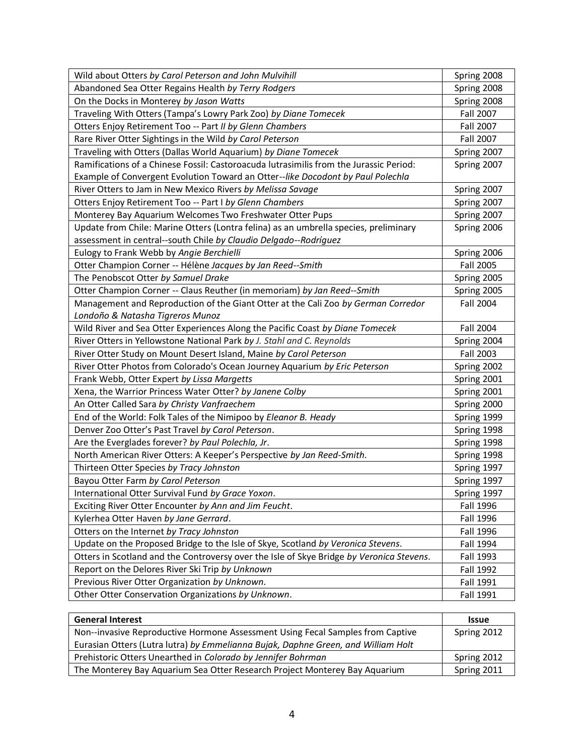| Wild about Otters by Carol Peterson and John Mulvihill                                   | Spring 2008      |
|------------------------------------------------------------------------------------------|------------------|
| Abandoned Sea Otter Regains Health by Terry Rodgers                                      | Spring 2008      |
| On the Docks in Monterey by Jason Watts                                                  | Spring 2008      |
| Traveling With Otters (Tampa's Lowry Park Zoo) by Diane Tomecek                          | <b>Fall 2007</b> |
| Otters Enjoy Retirement Too -- Part II by Glenn Chambers                                 | <b>Fall 2007</b> |
| Rare River Otter Sightings in the Wild by Carol Peterson                                 | Fall 2007        |
| Traveling with Otters (Dallas World Aquarium) by Diane Tomecek                           | Spring 2007      |
| Ramifications of a Chinese Fossil: Castoroacuda lutrasimilis from the Jurassic Period:   | Spring 2007      |
| Example of Convergent Evolution Toward an Otter--like Docodont by Paul Polechla          |                  |
| River Otters to Jam in New Mexico Rivers by Melissa Savage                               | Spring 2007      |
| Otters Enjoy Retirement Too -- Part I by Glenn Chambers                                  | Spring 2007      |
| Monterey Bay Aquarium Welcomes Two Freshwater Otter Pups                                 | Spring 2007      |
| Update from Chile: Marine Otters (Lontra felina) as an umbrella species, preliminary     | Spring 2006      |
| assessment in central--south Chile by Claudio Delgado--Rodríguez                         |                  |
| Eulogy to Frank Webb by Angie Berchielli                                                 | Spring 2006      |
| Otter Champion Corner -- Hélène Jacques by Jan Reed--Smith                               | <b>Fall 2005</b> |
| The Penobscot Otter by Samuel Drake                                                      | Spring 2005      |
| Otter Champion Corner -- Claus Reuther (in memoriam) by Jan Reed--Smith                  | Spring 2005      |
| Management and Reproduction of the Giant Otter at the Cali Zoo by German Corredor        | <b>Fall 2004</b> |
| Londoño & Natasha Tigreros Munoz                                                         |                  |
| Wild River and Sea Otter Experiences Along the Pacific Coast by Diane Tomecek            | <b>Fall 2004</b> |
| River Otters in Yellowstone National Park by J. Stahl and C. Reynolds                    | Spring 2004      |
| River Otter Study on Mount Desert Island, Maine by Carol Peterson                        | Fall 2003        |
| River Otter Photos from Colorado's Ocean Journey Aquarium by Eric Peterson               | Spring 2002      |
| Frank Webb, Otter Expert by Lissa Margetts                                               | Spring 2001      |
| Xena, the Warrior Princess Water Otter? by Janene Colby                                  | Spring 2001      |
| An Otter Called Sara by Christy Vanfraechem                                              | Spring 2000      |
| End of the World: Folk Tales of the Nimipoo by Eleanor B. Heady                          | Spring 1999      |
| Denver Zoo Otter's Past Travel by Carol Peterson.                                        | Spring 1998      |
| Are the Everglades forever? by Paul Polechla, Jr.                                        | Spring 1998      |
| North American River Otters: A Keeper's Perspective by Jan Reed-Smith.                   | Spring 1998      |
| Thirteen Otter Species by Tracy Johnston                                                 | Spring 1997      |
| Bayou Otter Farm by Carol Peterson                                                       | Spring 1997      |
| International Otter Survival Fund by Grace Yoxon.                                        | Spring 1997      |
| Exciting River Otter Encounter by Ann and Jim Feucht.                                    | Fall 1996        |
| Kylerhea Otter Haven by Jane Gerrard.                                                    | Fall 1996        |
| Otters on the Internet by Tracy Johnston                                                 | Fall 1996        |
| Update on the Proposed Bridge to the Isle of Skye, Scotland by Veronica Stevens.         | Fall 1994        |
| Otters in Scotland and the Controversy over the Isle of Skye Bridge by Veronica Stevens. | Fall 1993        |
| Report on the Delores River Ski Trip by Unknown                                          | <b>Fall 1992</b> |
| Previous River Otter Organization by Unknown.                                            | Fall 1991        |
| Other Otter Conservation Organizations by Unknown.                                       | Fall 1991        |

| <b>General Interest</b>                                                           | <b>Issue</b> |
|-----------------------------------------------------------------------------------|--------------|
| Non--invasive Reproductive Hormone Assessment Using Fecal Samples from Captive    | Spring 2012  |
| Eurasian Otters (Lutra lutra) by Emmelianna Bujak, Daphne Green, and William Holt |              |
| Prehistoric Otters Unearthed in Colorado by Jennifer Bohrman                      | Spring 2012  |
| The Monterey Bay Aquarium Sea Otter Research Project Monterey Bay Aquarium        | Spring 2011  |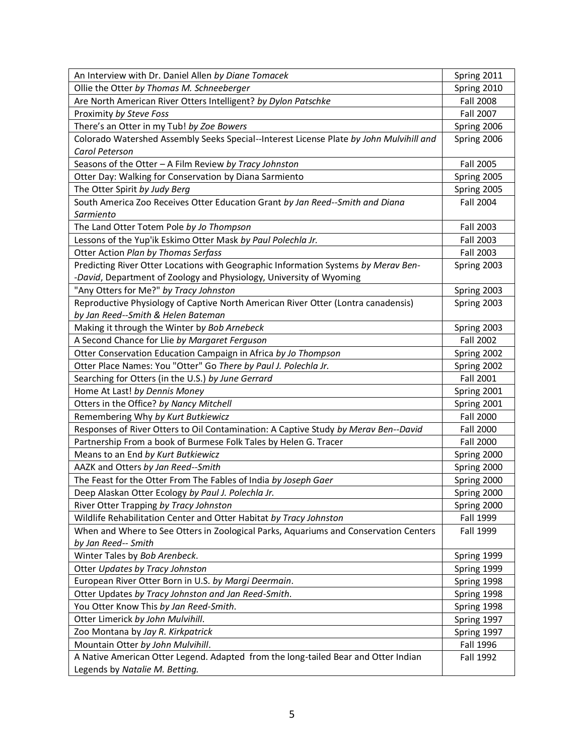| An Interview with Dr. Daniel Allen by Diane Tomacek                                     | Spring 2011      |
|-----------------------------------------------------------------------------------------|------------------|
| Ollie the Otter by Thomas M. Schneeberger                                               | Spring 2010      |
| Are North American River Otters Intelligent? by Dylon Patschke                          | <b>Fall 2008</b> |
| Proximity by Steve Foss                                                                 | Fall 2007        |
| There's an Otter in my Tub! by Zoe Bowers                                               | Spring 2006      |
| Colorado Watershed Assembly Seeks Special--Interest License Plate by John Mulvihill and | Spring 2006      |
| Carol Peterson                                                                          |                  |
| Seasons of the Otter - A Film Review by Tracy Johnston                                  | Fall 2005        |
| Otter Day: Walking for Conservation by Diana Sarmiento                                  | Spring 2005      |
| The Otter Spirit by Judy Berg                                                           | Spring 2005      |
| South America Zoo Receives Otter Education Grant by Jan Reed--Smith and Diana           | <b>Fall 2004</b> |
| Sarmiento                                                                               |                  |
| The Land Otter Totem Pole by Jo Thompson                                                | Fall 2003        |
| Lessons of the Yup'ik Eskimo Otter Mask by Paul Polechla Jr.                            | Fall 2003        |
| Otter Action Plan by Thomas Serfass                                                     | Fall 2003        |
| Predicting River Otter Locations with Geographic Information Systems by Merav Ben-      | Spring 2003      |
| -David, Department of Zoology and Physiology, University of Wyoming                     |                  |
| "Any Otters for Me?" by Tracy Johnston                                                  | Spring 2003      |
| Reproductive Physiology of Captive North American River Otter (Lontra canadensis)       | Spring 2003      |
| by Jan Reed--Smith & Helen Bateman                                                      |                  |
| Making it through the Winter by Bob Arnebeck                                            | Spring 2003      |
| A Second Chance for Llie by Margaret Ferguson                                           | <b>Fall 2002</b> |
| Otter Conservation Education Campaign in Africa by Jo Thompson                          | Spring 2002      |
| Otter Place Names: You "Otter" Go There by Paul J. Polechla Jr.                         | Spring 2002      |
| Searching for Otters (in the U.S.) by June Gerrard                                      | <b>Fall 2001</b> |
| Home At Last! by Dennis Money                                                           | Spring 2001      |
| Otters in the Office? by Nancy Mitchell                                                 | Spring 2001      |
| Remembering Why by Kurt Butkiewicz                                                      | <b>Fall 2000</b> |
| Responses of River Otters to Oil Contamination: A Captive Study by Merav Ben--David     | <b>Fall 2000</b> |
| Partnership From a book of Burmese Folk Tales by Helen G. Tracer                        | <b>Fall 2000</b> |
| Means to an End by Kurt Butkiewicz                                                      | Spring 2000      |
| AAZK and Otters by Jan Reed--Smith                                                      | Spring 2000      |
| The Feast for the Otter From The Fables of India by Joseph Gaer                         | Spring 2000      |
| Deep Alaskan Otter Ecology by Paul J. Polechla Jr.                                      | Spring 2000      |
| River Otter Trapping by Tracy Johnston                                                  | Spring 2000      |
| Wildlife Rehabilitation Center and Otter Habitat by Tracy Johnston                      | <b>Fall 1999</b> |
| When and Where to See Otters in Zoological Parks, Aquariums and Conservation Centers    | <b>Fall 1999</b> |
| by Jan Reed-- Smith                                                                     |                  |
| Winter Tales by Bob Arenbeck.                                                           | Spring 1999      |
| Otter Updates by Tracy Johnston                                                         | Spring 1999      |
| European River Otter Born in U.S. by Margi Deermain.                                    | Spring 1998      |
| Otter Updates by Tracy Johnston and Jan Reed-Smith.                                     | Spring 1998      |
| You Otter Know This by Jan Reed-Smith.                                                  | Spring 1998      |
| Otter Limerick by John Mulvihill.                                                       | Spring 1997      |
| Zoo Montana by Jay R. Kirkpatrick                                                       | Spring 1997      |
| Mountain Otter by John Mulvihill.                                                       | Fall 1996        |
| A Native American Otter Legend. Adapted from the long-tailed Bear and Otter Indian      | <b>Fall 1992</b> |
| Legends by Natalie M. Betting.                                                          |                  |